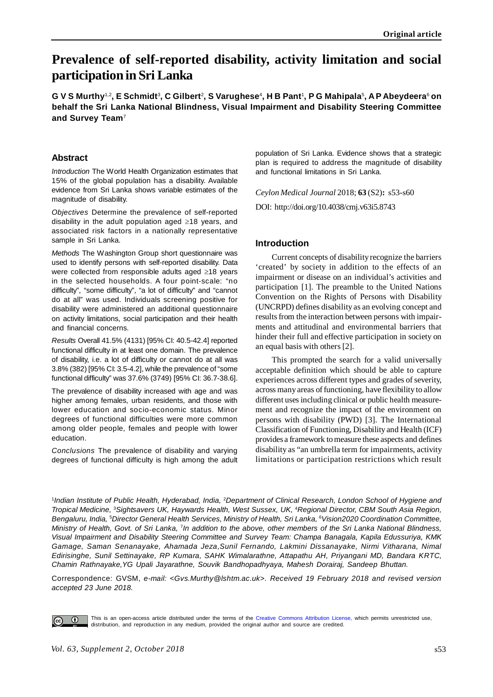# **Prevalence of self-reported disability, activity limitation and social participation in Sri Lanka**

**G V S Murthy**1,2**, E Schmidt**<sup>3</sup> **, C Gilbert**<sup>2</sup> **, S Varughese**<sup>4</sup> **, H B Pant**<sup>1</sup> **, P G Mahipala**<sup>5</sup> **, A P Abeydeera**<sup>6</sup>  **on behalf the Sri Lanka National Blindness, Visual Impairment and Disability Steering Committee and Survey Team**<sup>7</sup>

## **Abstract**

*Introduction* The World Health Organization estimates that 15% of the global population has a disability. Available evidence from Sri Lanka shows variable estimates of the magnitude of disability.

*Objectives* Determine the prevalence of self-reported disability in the adult population aged  $\geq$ 18 years, and associated risk factors in a nationally representative sample in Sri Lanka.

*Methods* The Washington Group short questionnaire was used to identify persons with self-reported disability. Data were collected from responsible adults aged  $\geq 18$  years in the selected households. A four point-scale: "no difficulty", "some difficulty", "a lot of difficulty" and "cannot do at all" was used. Individuals screening positive for disability were administered an additional questionnaire on activity limitations, social participation and their health and financial concerns.

*Results* Overall 41.5% (4131) [95% CI: 40.5-42.4] reported functional difficulty in at least one domain. The prevalence of disability, i.e. a lot of difficulty or cannot do at all was 3.8% (382) [95% CI: 3.5-4.2], while the prevalence of "some functional difficulty" was 37.6% (3749) [95% CI: 36.7-38.6].

The prevalence of disability increased with age and was higher among females, urban residents, and those with lower education and socio-economic status. Minor degrees of functional difficulties were more common among older people, females and people with lower education.

*Conclusions* The prevalence of disability and varying degrees of functional difficulty is high among the adult population of Sri Lanka. Evidence shows that a strategic plan is required to address the magnitude of disability and functional limitations in Sri Lanka.

*Ceylon Medical Journal* 2018; **63** (S2)**:** s53-s60

DOI: <http://doi.org/10.4038/cmj.v63i5.8743>

## **Introduction**

Current concepts of disability recognize the barriers 'created' by society in addition to the effects of an impairment or disease on an individual's activities and participation [1]. The preamble to the United Nations Convention on the Rights of Persons with Disability (UNCRPD) defines disability as an evolving concept and results from the interaction between persons with impairments and attitudinal and environmental barriers that hinder their full and effective participation in society on an equal basis with others [2].

This prompted the search for a valid universally acceptable definition which should be able to capture experiences across different types and grades of severity, across many areas of functioning, have flexibility to allow different uses including clinical or public health measurement and recognize the impact of the environment on persons with disability (PWD) [3]. The International Classification of Functioning, Disability and Health (ICF) provides a framework to measure these aspects and defines disability as "an umbrella term for impairments, activity limitations or participation restrictions which result

1 *Indian Institute of Public Health, Hyderabad, India,* <sup>2</sup>*Department of Clinical Research, London School of Hygiene and Tropical Medicine,* <sup>3</sup>*Sightsavers UK, Haywards Health, West Sussex, UK,* <sup>4</sup>*Regional Director, CBM South Asia Region, Bengaluru, India,* <sup>5</sup>*Director General Health Services, Ministry of Health, Sri Lanka,* <sup>6</sup>*Vision2020 Coordination Committee, Ministry of Health, Govt. of Sri Lanka,* <sup>7</sup> *In addition to the above, other members of the Sri Lanka National Blindness, Visual Impairment and Disability Steering Committee and Survey Team: Champa Banagala, Kapila Edussuriya, KMK Gamage, Saman Senanayake, Ahamada Jeza,Sunil Fernando, Lakmini Dissanayake, Nirmi Vitharana, Nimal Edirisinghe, Sunil Settinayake, RP Kumara, SAHK Wimalarathne, Attapathu AH, Priyangani MD, Bandara KRTC, Chamin Rathnayake,YG Upali Jayarathne, Souvik Bandhopadhyaya, Mahesh Dorairaj, Sandeep Bhuttan.*

Correspondence: GVSM, *e-mail: [<Gvs.Murthy@lshtm.ac.uk](mailto:Gvs.Murthy@lshtm.ac.uk)>. Received 19 February 2018 and revised version accepted 23 June 2018.*



This is an open-access article distributed under the terms of the [Creative Commons Attribution License,](https://creativecommons.org/licenses/by/4.0/) which permits unrestricted use, distribution, and reproduction in any medium, provided the original author and source are credited.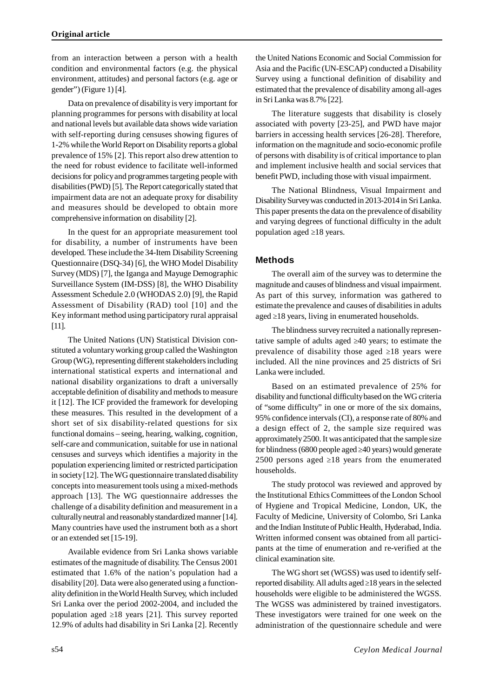from an interaction between a person with a health condition and environmental factors (e.g. the physical environment, attitudes) and personal factors (e.g. age or gender") (Figure 1) [4].

Data on prevalence of disability is very important for planning programmes for persons with disability at local and national levels but available data shows wide variation with self-reporting during censuses showing figures of 1-2% while the World Report on Disability reports a global prevalence of 15% [2]. This report also drew attention to the need for robust evidence to facilitate well-informed decisions for policy and programmes targeting people with disabilities (PWD) [5]. The Report categorically stated that impairment data are not an adequate proxy for disability and measures should be developed to obtain more comprehensive information on disability [2].

In the quest for an appropriate measurement tool for disability, a number of instruments have been developed. These include the 34-Item Disability Screening Questionnaire (DSQ-34) [6], the WHO Model Disability Survey (MDS) [7], the Iganga and Mayuge Demographic Surveillance System (IM-DSS) [8], the WHO Disability Assessment Schedule 2.0 (WHODAS 2.0) [9], the Rapid Assessment of Disability (RAD) tool [10] and the Key informant method using participatory rural appraisal [11].

The United Nations (UN) Statistical Division constituted a voluntary working group called the Washington Group (WG), representing different stakeholders including international statistical experts and international and national disability organizations to draft a universally acceptable definition of disability and methods to measure it [12]. The ICF provided the framework for developing these measures. This resulted in the development of a short set of six disability-related questions for six functional domains – seeing, hearing, walking, cognition, self-care and communication, suitable for use in national censuses and surveys which identifies a majority in the population experiencing limited or restricted participation in society [12]. The WG questionnaire translated disability concepts into measurement tools using a mixed-methods approach [13]. The WG questionnaire addresses the challenge of a disability definition and measurement in a culturally neutral and reasonably standardized manner [14]. Many countries have used the instrument both as a short or an extended set [15-19].

Available evidence from Sri Lanka shows variable estimates of the magnitude of disability. The Census 2001 estimated that 1.6% of the nation's population had a disability [20]. Data were also generated using a functionality definition in the World Health Survey, which included Sri Lanka over the period 2002-2004, and included the population aged  $\geq 18$  years [21]. This survey reported 12.9% of adults had disability in Sri Lanka [2]. Recently

the United Nations Economic and Social Commission for Asia and the Pacific (UN-ESCAP) conducted a Disability Survey using a functional definition of disability and estimated that the prevalence of disability among all-ages in Sri Lanka was 8.7% [22].

The literature suggests that disability is closely associated with poverty [23-25], and PWD have major barriers in accessing health services [26-28]. Therefore, information on the magnitude and socio-economic profile of persons with disability is of critical importance to plan and implement inclusive health and social services that benefit PWD, including those with visual impairment.

The National Blindness, Visual Impairment and Disability Survey was conducted in 2013-2014 in Sri Lanka. This paper presents the data on the prevalence of disability and varying degrees of functional difficulty in the adult population aged  $\geq 18$  years.

#### **Methods**

The overall aim of the survey was to determine the magnitude and causes of blindness and visual impairment. As part of this survey, information was gathered to estimate the prevalence and causes of disabilities in adults aged  $\geq$ 18 years, living in enumerated households.

The blindness survey recruited a nationally representative sample of adults aged  $\geq 40$  years; to estimate the prevalence of disability those aged  $\geq 18$  years were included. All the nine provinces and 25 districts of Sri Lanka were included.

Based on an estimated prevalence of 25% for disability and functional difficulty based on the WG criteria of "some difficulty" in one or more of the six domains, 95% confidence intervals (CI), a response rate of 80% and a design effect of 2, the sample size required was approximately 2500. It was anticipated that the sample size for blindness (6800 people aged  $\geq$ 40 years) would generate 2500 persons aged  $\geq$ 18 years from the enumerated households.

The study protocol was reviewed and approved by the Institutional Ethics Committees of the London School of Hygiene and Tropical Medicine, London, UK, the Faculty of Medicine, University of Colombo, Sri Lanka and the Indian Institute of Public Health, Hyderabad, India. Written informed consent was obtained from all participants at the time of enumeration and re-verified at the clinical examination site.

The WG short set (WGSS) was used to identify selfreported disability. All adults aged  $\geq$  18 years in the selected households were eligible to be administered the WGSS. The WGSS was administered by trained investigators. These investigators were trained for one week on the administration of the questionnaire schedule and were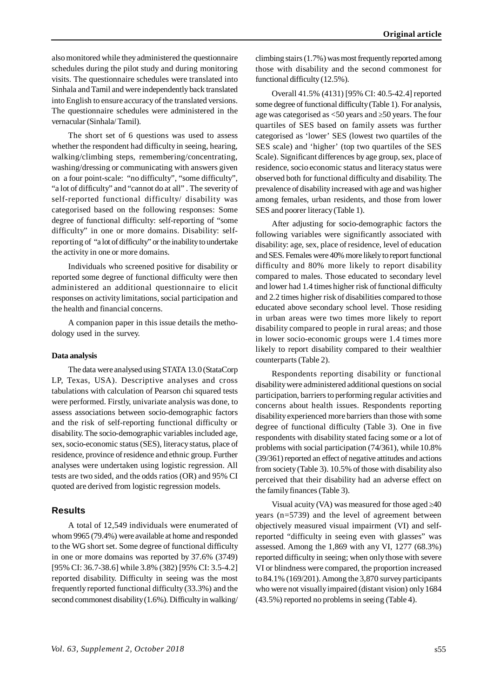also monitored while they administered the questionnaire schedules during the pilot study and during monitoring visits. The questionnaire schedules were translated into Sinhala and Tamil and were independently back translated into English to ensure accuracy of the translated versions. The questionnaire schedules were administered in the vernacular (Sinhala/ Tamil).

The short set of 6 questions was used to assess whether the respondent had difficulty in seeing, hearing, walking/climbing steps, remembering/concentrating, washing/dressing or communicating with answers given on a four point-scale: "no difficulty", "some difficulty", "a lot of difficulty" and "cannot do at all" . The severity of self-reported functional difficulty/ disability was categorised based on the following responses: Some degree of functional difficulty: self-reporting of "some difficulty" in one or more domains. Disability: selfreporting of "a lot of difficulty" or the inability to undertake the activity in one or more domains.

Individuals who screened positive for disability or reported some degree of functional difficulty were then administered an additional questionnaire to elicit responses on activity limitations, social participation and the health and financial concerns.

A companion paper in this issue details the methodology used in the survey.

#### **Data analysis**

The data were analysed using STATA 13.0 (StataCorp LP, Texas, USA). Descriptive analyses and cross tabulations with calculation of Pearson chi squared tests were performed. Firstly, univariate analysis was done, to assess associations between socio-demographic factors and the risk of self-reporting functional difficulty or disability. The socio-demographic variables included age, sex, socio-economic status (SES), literacy status, place of residence, province of residence and ethnic group. Further analyses were undertaken using logistic regression. All tests are two sided, and the odds ratios (OR) and 95% CI quoted are derived from logistic regression models.

#### **Results**

A total of 12,549 individuals were enumerated of whom 9965 (79.4%) were available at home and responded to the WG short set. Some degree of functional difficulty in one or more domains was reported by 37.6% (3749) [95% CI: 36.7-38.6] while 3.8% (382) [95% CI: 3.5-4.2] reported disability. Difficulty in seeing was the most frequently reported functional difficulty (33.3%) and the second commonest disability (1.6%). Difficulty in walking/ climbing stairs (1.7%) was most frequently reported among those with disability and the second commonest for functional difficulty (12.5%).

Overall 41.5% (4131) [95% CI: 40.5-42.4] reported some degree of functional difficulty (Table 1). For analysis, age was categorised as  $\leq 50$  years and  $\geq 50$  years. The four quartiles of SES based on family assets was further categorised as 'lower' SES (lowest two quartiles of the SES scale) and 'higher' (top two quartiles of the SES Scale). Significant differences by age group, sex, place of residence, socio economic status and literacy status were observed both for functional difficulty and disability. The prevalence of disability increased with age and was higher among females, urban residents, and those from lower SES and poorer literacy (Table 1).

After adjusting for socio-demographic factors the following variables were significantly associated with disability: age, sex, place of residence, level of education and SES. Females were 40% more likely to report functional difficulty and 80% more likely to report disability compared to males. Those educated to secondary level and lower had 1.4 times higher risk of functional difficulty and 2.2 times higher risk of disabilities compared to those educated above secondary school level. Those residing in urban areas were two times more likely to report disability compared to people in rural areas; and those in lower socio-economic groups were 1.4 times more likely to report disability compared to their wealthier counterparts (Table 2).

Respondents reporting disability or functional disability were administered additional questions on social participation, barriers to performing regular activities and concerns about health issues. Respondents reporting disability experienced more barriers than those with some degree of functional difficulty (Table 3). One in five respondents with disability stated facing some or a lot of problems with social participation (74/361), while 10.8% (39/361) reported an effect of negative attitudes and actions from society (Table 3). 10.5% of those with disability also perceived that their disability had an adverse effect on the family finances (Table 3).

Visual acuity (VA) was measured for those aged  $\geq 40$ years (n=5739) and the level of agreement between objectively measured visual impairment (VI) and selfreported "difficulty in seeing even with glasses" was assessed. Among the 1,869 with any VI, 1277 (68.3%) reported difficulty in seeing; when only those with severe VI or blindness were compared, the proportion increased to 84.1% (169/201). Among the 3,870 survey participants who were not visually impaired (distant vision) only 1684 (43.5%) reported no problems in seeing (Table 4).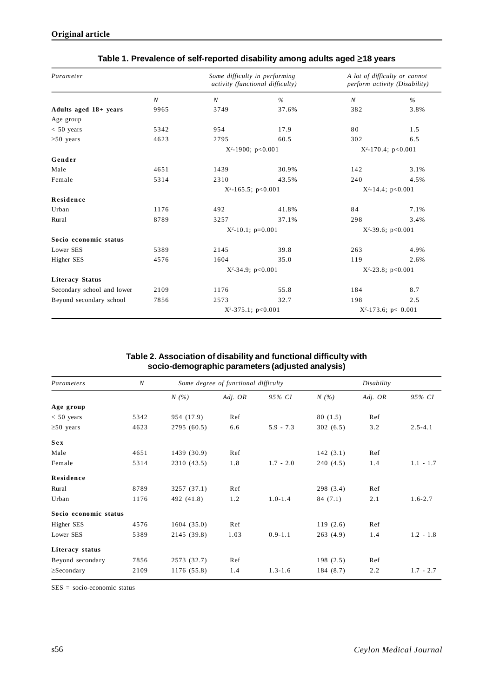## **Original article**

| Parameter                  |                  | Some difficulty in performing | activity (functional difficulty) | A lot of difficulty or cannot<br>perform activity (Disability) |               |  |
|----------------------------|------------------|-------------------------------|----------------------------------|----------------------------------------------------------------|---------------|--|
|                            | $\boldsymbol{N}$ | $\boldsymbol{N}$              | $\frac{0}{0}$                    | $\boldsymbol{N}$                                               | $\frac{6}{6}$ |  |
| Adults aged 18+ years      | 9965             | 3749                          | 37.6%                            | 382                                                            | 3.8%          |  |
| Age group                  |                  |                               |                                  |                                                                |               |  |
| $< 50$ years               | 5342             | 954                           | 17.9                             | 80                                                             | 1.5           |  |
| $\geq 50$ years            | 4623             | 2795                          | 60.5                             | 302                                                            | 6.5           |  |
|                            |                  | $X^2-1900$ ; p<0.001          |                                  | $X^2-170.4$ ; p<0.001                                          |               |  |
| Gender                     |                  |                               |                                  |                                                                |               |  |
| Male                       | 4651             | 1439                          | 30.9%                            | 142                                                            | 3.1%          |  |
| Female                     | 5314             | 2310                          | 43.5%                            | 240                                                            | 4.5%          |  |
|                            |                  | $X^2-165.5$ ; p<0.001         |                                  | $X^2-14.4$ ; p<0.001                                           |               |  |
| <b>Residence</b>           |                  |                               |                                  |                                                                |               |  |
| Urban                      | 1176             | 492                           | 41.8%                            | 84                                                             | 7.1%          |  |
| Rural                      | 8789             | 3257                          | 37.1%                            | 298                                                            | 3.4%          |  |
|                            |                  | $X^2-10.1$ ; p=0.001          |                                  | $X^2-39.6$ ; p<0.001                                           |               |  |
| Socio economic status      |                  |                               |                                  |                                                                |               |  |
| Lower SES                  | 5389             | 2145                          | 39.8                             | 263                                                            | 4.9%          |  |
| Higher SES                 | 4576             | 1604                          | 35.0                             | 119                                                            | 2.6%          |  |
|                            |                  | $X^2-34.9$ ; $p<0.001$        |                                  | $X^2-23.8$ ; p<0.001                                           |               |  |
| <b>Literacy Status</b>     |                  |                               |                                  |                                                                |               |  |
| Secondary school and lower | 2109             | 1176                          | 55.8                             | 184                                                            | 8.7           |  |
| Beyond secondary school    | 7856             | 2573                          | 32.7                             | 198                                                            | 2.5           |  |
|                            |                  | $X^2-375.1$ ; p<0.001         |                                  | $X^2-173.6$ ; p< 0.001                                         |               |  |

### **Table 1. Prevalence of self-reported disability among adults aged 18 years**

## **Table 2. Association of disability and functional difficulty with socio-demographic parameters (adjusted analysis)**

| Parameters            | $\boldsymbol{N}$ | Some degree of functional difficulty |           |             |           |           |             |
|-----------------------|------------------|--------------------------------------|-----------|-------------|-----------|-----------|-------------|
|                       |                  | N(%)                                 | Adj. $OR$ | 95% CI      | N(%)      | Adj. $OR$ | 95% CI      |
| Age group             |                  |                                      |           |             |           |           |             |
| $< 50$ years          | 5342             | 954 (17.9)                           | Ref       |             | 80(1.5)   | Ref       |             |
| $\geq 50$ years       | 4623             | 2795 (60.5)                          | 6.6       | $5.9 - 7.3$ | 302(6.5)  | 3.2       | $2.5 - 4.1$ |
| Sex                   |                  |                                      |           |             |           |           |             |
| Male                  | 4651             | 1439 (30.9)                          | Ref       |             | 142(3.1)  | Ref       |             |
| Female                | 5314             | 2310 (43.5)                          | 1.8       | $1.7 - 2.0$ | 240 (4.5) | 1.4       | $1.1 - 1.7$ |
| Residence             |                  |                                      |           |             |           |           |             |
| Rural                 | 8789             | 3257 (37.1)                          | Ref       |             | 298 (3.4) | Ref       |             |
| Urban                 | 1176             | 492 (41.8)                           | 1.2       | $1.0 - 1.4$ | 84(7.1)   | 2.1       | $1.6 - 2.7$ |
| Socio economic status |                  |                                      |           |             |           |           |             |
| Higher SES            | 4576             | 1604(35.0)                           | Ref       |             | 119(2.6)  | Ref       |             |
| Lower SES             | 5389             | 2145 (39.8)                          | 1.03      | $0.9 - 1.1$ | 263(4.9)  | 1.4       | $1.2 - 1.8$ |
| Literacy status       |                  |                                      |           |             |           |           |             |
| Beyond secondary      | 7856             | 2573 (32.7)                          | Ref       |             | 198 (2.5) | Ref       |             |
| $\geq$ Secondary      | 2109             | 1176 (55.8)                          | 1.4       | $1.3 - 1.6$ | 184 (8.7) | 2.2       | $1.7 - 2.7$ |

SES = socio-economic status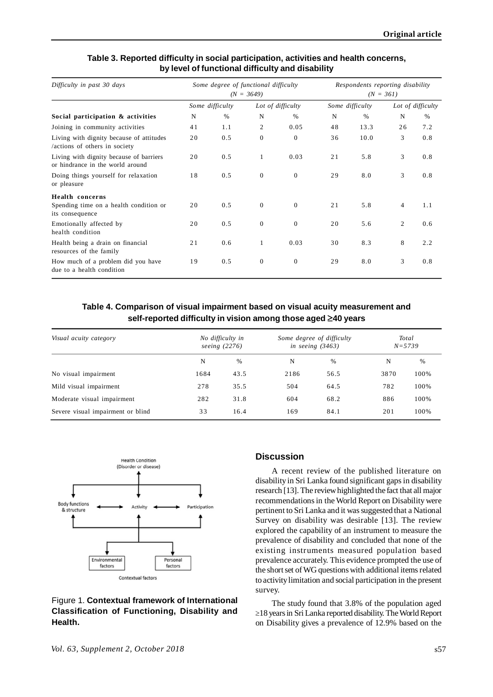#### **Table 3. Reported difficulty in social participation, activities and health concerns, by level of functional difficulty and disability**

| Difficulty in past 30 days                                                          | Some degree of functional difficulty<br>$(N = 3649)$ |      |                   |              | Respondents reporting disability<br>$(N = 361)$ |               |                   |      |
|-------------------------------------------------------------------------------------|------------------------------------------------------|------|-------------------|--------------|-------------------------------------------------|---------------|-------------------|------|
|                                                                                     | Some difficulty                                      |      | Lot of difficulty |              | Some difficulty                                 |               | Lot of difficulty |      |
| Social participation & activities                                                   | N                                                    | $\%$ | N                 | $\%$         | N                                               | $\frac{0}{0}$ | N                 | $\%$ |
| Joining in community activities                                                     | 41                                                   | 1.1  | 2                 | 0.05         | 48                                              | 13.3          | 26                | 7.2  |
| Living with dignity because of attitudes<br>actions of others in society            | 20                                                   | 0.5  | $\mathbf{0}$      | $\Omega$     | 36                                              | 10.0          | 3                 | 0.8  |
| Living with dignity because of barriers<br>or hindrance in the world around         | 20                                                   | 0.5  | 1                 | 0.03         | 21                                              | 5.8           | 3                 | 0.8  |
| Doing things yourself for relaxation<br>or pleasure                                 | 18                                                   | 0.5  | $\theta$          | $\theta$     | 29                                              | 8.0           | 3                 | 0.8  |
| <b>Health</b> concerns<br>Spending time on a health condition or<br>its consequence | 20                                                   | 0.5  | $\theta$          | $\Omega$     | 21                                              | 5.8           | $\overline{4}$    | 1.1  |
| Emotionally affected by<br>health condition                                         | 20                                                   | 0.5  | $\mathbf{0}$      | $\mathbf{0}$ | 20                                              | 5.6           | $\overline{2}$    | 0.6  |
| Health being a drain on financial<br>resources of the family                        | 21                                                   | 0.6  | 1                 | 0.03         | 30                                              | 8.3           | 8                 | 2.2  |
| How much of a problem did you have<br>due to a health condition                     | 19                                                   | 0.5  | $\mathbf{0}$      | $\theta$     | 29                                              | 8.0           | 3                 | 0.8  |

## **Table 4. Comparison of visual impairment based on visual acuity measurement and self-reported difficulty in vision among those aged 40 years**

| Visual acuity category            | No difficulty in<br>seeing (2276) |      | Some degree of difficulty<br>in seeing $(3463)$ |      | Total<br>$N = 5739$ |      |
|-----------------------------------|-----------------------------------|------|-------------------------------------------------|------|---------------------|------|
|                                   | N                                 | $\%$ | N                                               | $\%$ | N                   | $\%$ |
| No visual impairment              | 1684                              | 43.5 | 2186                                            | 56.5 | 3870                | 100% |
| Mild visual impairment            | 278                               | 35.5 | 504                                             | 64.5 | 782                 | 100% |
| Moderate visual impairment        | 282                               | 31.8 | 604                                             | 68.2 | 886                 | 100% |
| Severe visual impairment or blind | 33                                | 16.4 | 169                                             | 84.1 | 201                 | 100% |



## Figure 1. **Contextual framework of International Classification of Functioning, Disability and Health.**

## **Discussion**

A recent review of the published literature on disability in Sri Lanka found significant gaps in disability research [13]. The review highlighted the fact that all major recommendations in the World Report on Disability were pertinent to Sri Lanka and it was suggested that a National Survey on disability was desirable [13]. The review explored the capability of an instrument to measure the prevalence of disability and concluded that none of the existing instruments measured population based prevalence accurately. This evidence prompted the use of the short set of WG questions with additional items related to activity limitation and social participation in the present survey.

The study found that 3.8% of the population aged  $\geq$ 18 years in Sri Lanka reported disability. The World Report on Disability gives a prevalence of 12.9% based on the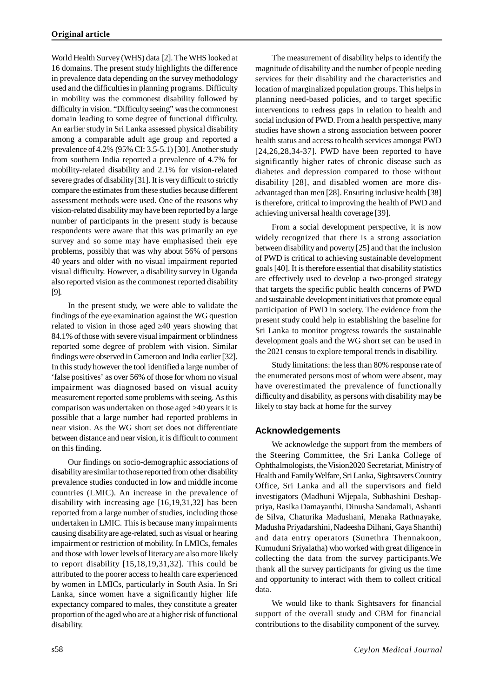World Health Survey (WHS) data [2]. The WHS looked at 16 domains. The present study highlights the difference in prevalence data depending on the survey methodology used and the difficulties in planning programs. Difficulty in mobility was the commonest disability followed by difficulty in vision. "Difficulty seeing" was the commonest domain leading to some degree of functional difficulty. An earlier study in Sri Lanka assessed physical disability among a comparable adult age group and reported a prevalence of 4.2% (95% CI: 3.5-5.1) [30]. Another study from southern India reported a prevalence of 4.7% for mobility-related disability and 2.1% for vision-related severe grades of disability [31]. It is very difficult to strictly compare the estimates from these studies because different assessment methods were used. One of the reasons why vision-related disability may have been reported by a large number of participants in the present study is because respondents were aware that this was primarily an eye survey and so some may have emphasised their eye problems, possibly that was why about 56% of persons 40 years and older with no visual impairment reported visual difficulty. However, a disability survey in Uganda also reported vision as the commonest reported disability [9].

In the present study, we were able to validate the findings of the eye examination against the WG question related to vision in those aged  $\geq 40$  years showing that 84.1% of those with severe visual impairment or blindness reported some degree of problem with vision. Similar findings were observed in Cameroon and India earlier [32]. In this study however the tool identified a large number of 'false positives' as over 56% of those for whom no visual impairment was diagnosed based on visual acuity measurement reported some problems with seeing. As this comparison was undertaken on those aged  $\geq 40$  years it is possible that a large number had reported problems in near vision. As the WG short set does not differentiate between distance and near vision, it is difficult to comment on this finding.

Our findings on socio-demographic associations of disability are similar to those reported from other disability prevalence studies conducted in low and middle income countries (LMIC). An increase in the prevalence of disability with increasing age [16,19,31,32] has been reported from a large number of studies, including those undertaken in LMIC. This is because many impairments causing disability are age-related, such as visual or hearing impairment or restriction of mobility. In LMICs, females and those with lower levels of literacy are also more likely to report disability [15,18,19,31,32]. This could be attributed to the poorer access to health care experienced by women in LMICs, particularly in South Asia. In Sri Lanka, since women have a significantly higher life expectancy compared to males, they constitute a greater proportion of the aged who are at a higher risk of functional disability.

The measurement of disability helps to identify the magnitude of disability and the number of people needing services for their disability and the characteristics and location of marginalized population groups. This helps in planning need-based policies, and to target specific interventions to redress gaps in relation to health and social inclusion of PWD. From a health perspective, many studies have shown a strong association between poorer health status and access to health services amongst PWD  $[24,26,28,34-37]$ . PWD have been reported to have significantly higher rates of chronic disease such as diabetes and depression compared to those without disability [28], and disabled women are more disadvantaged than men [28]. Ensuring inclusive health [38] is therefore, critical to improving the health of PWD and achieving universal health coverage [39].

From a social development perspective, it is now widely recognized that there is a strong association between disability and poverty [25] and that the inclusion of PWD is critical to achieving sustainable development goals [40]. It is therefore essential that disability statistics are effectively used to develop a two-pronged strategy that targets the specific public health concerns of PWD and sustainable development initiatives that promote equal participation of PWD in society. The evidence from the present study could help in establishing the baseline for Sri Lanka to monitor progress towards the sustainable development goals and the WG short set can be used in the 2021 census to explore temporal trends in disability.

Study limitations: the less than 80% response rate of the enumerated persons most of whom were absent, may have overestimated the prevalence of functionally difficulty and disability, as persons with disability may be likely to stay back at home for the survey

#### **Acknowledgements**

We acknowledge the support from the members of the Steering Committee, the Sri Lanka College of Ophthalmologists, the Vision2020 Secretariat, Ministry of Health and Family Welfare, Sri Lanka, Sightsavers Country Office, Sri Lanka and all the supervisors and field investigators (Madhuni Wijepala, Subhashini Deshappriya, Rasika Damayanthi, Dinusha Sandamali, Ashanti de Silva, Chaturika Madushani, Menaka Rathnayake, Madusha Priyadarshini, Nadeesha Dilhani, Gaya Shanthi) and data entry operators (Sunethra Thennakoon, Kumuduni Sriyalatha) who worked with great diligence in collecting the data from the survey participants.We thank all the survey participants for giving us the time and opportunity to interact with them to collect critical data.

We would like to thank Sightsavers for financial support of the overall study and CBM for financial contributions to the disability component of the survey.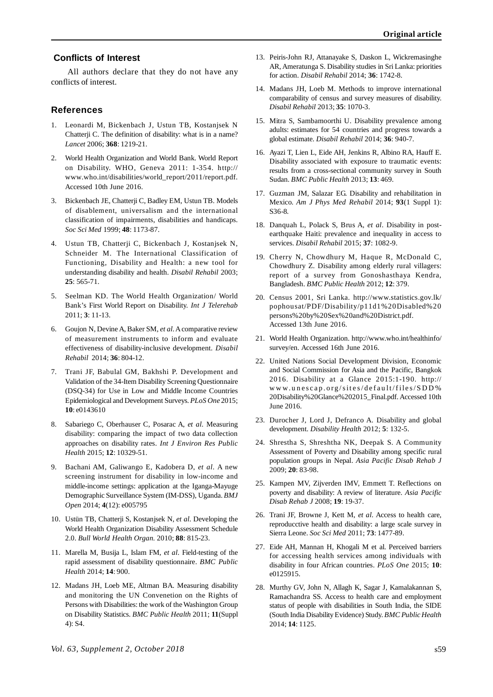### **Conflicts of Interest**

All authors declare that they do not have any conflicts of interest.

#### **References**

- 1. Leonardi M, Bickenbach J, Ustun TB, Kostanjsek N Chatterji C. The definition of disability: what is in a name? *Lancet* 2006; **368**: 1219-21.
- 2. World Health Organization and World Bank. World Report on Disability. WHO, Geneva 2011: 1-354. http:// [www.who.int/disabilities/world\\_report/2011/report.pdf.](http://www.who.int/disabilities/world_report/2011/report.pdf.) Accessed 10th June 2016.
- 3. Bickenbach JE, Chatterji C, Badley EM, Ustun TB. Models of disablement, universalism and the international classification of impairments, disabilities and handicaps. *Soc Sci Med* 1999; **48**: 1173-87.
- 4. Ustun TB, Chatterji C, Bickenbach J, Kostanjsek N, Schneider M. The International Classification of Functioning, Disability and Health: a new tool for understanding disability and health. *Disabil Rehabil* 2003; **25**: 565-71.
- 5. Seelman KD. The World Health Organization/ World Bank's First World Report on Disability. *Int J Telerehab* 2011; **3**: 11-13.
- 6. Goujon N, Devine A, Baker SM, *et al*. A comparative review of measurement instruments to inform and evaluate effectiveness of disability-inclusive development. *Disabil Rehabil* 2014; **36**: 804-12.
- 7. Trani JF, Babulal GM, Bakhshi P. Development and Validation of the 34-Item Disability Screening Questionnaire (DSQ-34) for Use in Low and Middle Income Countries Epidemiological and Development Surveys. *PLoS One* 2015; **10**: e0143610
- 8. Sabariego C, Oberhauser C, Posarac A, *et al*. Measuring disability: comparing the impact of two data collection approaches on disability rates. *Int J Environ Res Public Health* 2015; **12**: 10329-51.
- 9. Bachani AM, Galiwango E, Kadobera D, *et al*. A new screening instrument for disability in low-income and middle-income settings: application at the Iganga-Mayuge Demographic Surveillance System (IM-DSS), Uganda. *BMJ Open* 2014; **4**(12): e005795
- 10. Ustün TB, Chatterji S, Kostanjsek N, *et al*. Developing the World Health Organization Disability Assessment Schedule 2.0. *Bull World Health Organ.* 2010; **88**: 815-23.
- 11. Marella M, Busija L, Islam FM, *et al*. Field-testing of the rapid assessment of disability questionnaire. *BMC Public Health* 2014; **14**: 900.
- 12. Madans JH, Loeb ME, Altman BA. Measuring disability and monitoring the UN Convenetion on the Rights of Persons with Disabilities: the work of the Washington Group on Disability Statistics. *BMC Public Health* 2011; **11**(Suppl 4): S4.
- 13. Peiris-John RJ, Attanayake S, Daskon L, Wickremasinghe AR, Ameratunga S. Disability studies in Sri Lanka: priorities for action. *Disabil Rehabil* 2014; **36**: 1742-8.
- 14. Madans JH, Loeb M. Methods to improve international comparability of census and survey measures of disability. *Disabil Rehabil* 2013; **35**: 1070-3.
- 15. Mitra S, Sambamoorthi U. Disability prevalence among adults: estimates for 54 countries and progress towards a global estimate. *Disabil Rehabil* 2014; **36**: 940-7.
- 16. Ayazi T, Lien L, Eide AH, Jenkins R, Albino RA, Hauff E. Disability associated with exposure to traumatic events: results from a cross-sectional community survey in South Sudan. *BMC Public Health* 2013; **13**: 469.
- 17. Guzman JM, Salazar EG. Disability and rehabilitation in Mexico. *Am J Phys Med Rehabil* 2014; **93**(1 Suppl 1): S36-8.
- 18. Danquah L, Polack S, Brus A, *et al*. Disability in postearthquake Haiti: prevalence and inequality in access to services. *Disabil Rehabil* 2015; **37**: 1082-9.
- 19. Cherry N, Chowdhury M, Haque R, McDonald C, Chowdhury Z. Disability among elderly rural villagers: report of a survey from Gonoshasthaya Kendra, Bangladesh. *BMC Public Health* 2012; **12**: 379.
- 20. Census 2001, Sri Lanka. <http://www.statistics.gov.lk/> pophousat/PDF/Disability/p11d1%20Disabled%20 persons%20by%20Sex%20and%20District.pdf. Accessed 13th June 2016.
- 21. World Health Organization.<http://www.who.int/healthinfo/> survey/en. Accessed 16th June 2016.
- 22. United Nations Social Development Division, Economic and Social Commission for Asia and the Pacific, Bangkok 2016. Disability at a Glance 2015:1-190. http:// www.unescap.org/sites/default/files/SDD% 20Disability%20Glance%202015\_Final.pdf. Accessed 10th June 2016.
- 23. Durocher J, Lord J, Defranco A. Disability and global development. *Disability Health* 2012; **5**: 132-5.
- 24. Shrestha S, Shreshtha NK, Deepak S. A Community Assessment of Poverty and Disability among specific rural population groups in Nepal. *Asia Pacific Disab Rehab J* 2009; **20**: 83-98.
- 25. Kampen MV, Zijverden IMV, Emmett T. Reflections on poverty and disability: A review of literature. *Asia Pacific Disab Rehab J* 2008; **19**: 19-37.
- 26. Trani JF, Browne J, Kett M, *et al*. Access to health care, reproducctive health and disability: a large scale survey in Sierra Leone. *Soc Sci Med* 2011; **73**: 1477-89.
- 27. Eide AH, Mannan H, Khogali M et al. Perceived barriers for accessing health services among individuals with disability in four African countries. *PLoS One* 2015; **10**: e0125915.
- 28. Murthy GV, John N, Allagh K, Sagar J, Kamalakannan S, Ramachandra SS. Access to health care and employment status of people with disabilities in South India, the SIDE (South India Disability Evidence) Study. *BMC Public Health* 2014; **14**: 1125.